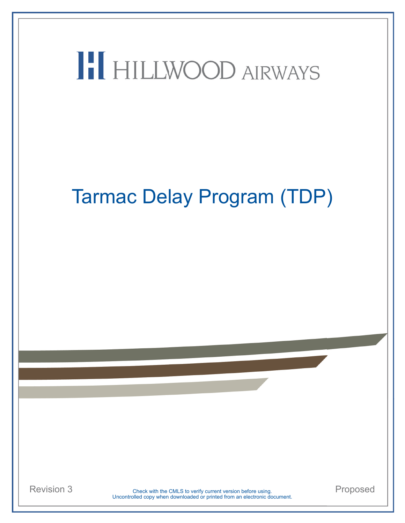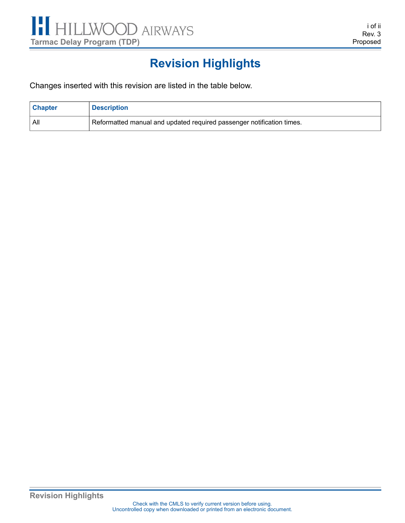

## <span id="page-2-2"></span><span id="page-2-1"></span>**Revision Highlights**

<span id="page-2-0"></span>Changes inserted with this revision are listed in the table below.

| <b>Chapter</b> | <b>Description</b>                                                    |
|----------------|-----------------------------------------------------------------------|
| - All          | Reformatted manual and updated required passenger notification times. |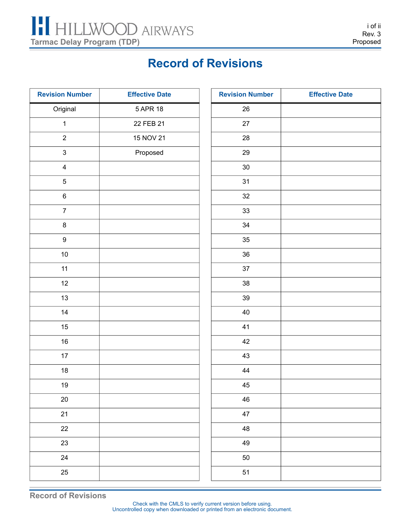

### <span id="page-4-2"></span><span id="page-4-1"></span>**Record of Revisions**

<span id="page-4-0"></span>

| <b>Revision Number</b>  | <b>Effective Date</b> | <b>Revision Number</b> | <b>Effective Date</b> |
|-------------------------|-----------------------|------------------------|-----------------------|
| Original                | 5 APR 18              | $26\,$                 |                       |
| $\mathbf 1$             | 22 FEB 21             | 27                     |                       |
| $\overline{2}$          | 15 NOV 21             | 28                     |                       |
| $\mathbf{3}$            | Proposed              | 29                     |                       |
| $\overline{\mathbf{4}}$ |                       | $30\,$                 |                       |
| $\sqrt{5}$              |                       | 31                     |                       |
| $\,6\,$                 |                       | 32                     |                       |
| $\boldsymbol{7}$        |                       | $33\,$                 |                       |
| $\bf 8$                 |                       | 34                     |                       |
| $\boldsymbol{9}$        |                       | 35                     |                       |
| $10\,$                  |                       | $36\,$                 |                       |
| 11                      |                       | 37                     |                       |
| 12                      |                       | 38                     |                       |
| 13                      |                       | $39\,$                 |                       |
| $14$                    |                       | 40                     |                       |
| $15\,$                  |                       | 41                     |                       |
| $16\,$                  |                       | 42                     |                       |
| $17$                    |                       | 43                     |                       |
| $18\,$                  |                       | 44                     |                       |
| 19                      |                       | $\sqrt{45}$            |                       |
| $20\,$                  |                       | 46                     |                       |
| 21                      |                       | 47                     |                       |
| 22                      |                       | 48                     |                       |
| 23                      |                       | 49                     |                       |
| 24                      |                       | 50                     |                       |
| 25                      |                       | 51                     |                       |

**Record of Revisions**

Uncontrolled copy when downloaded or printed from an electronic document. Check with the CMLS to verify current version before using.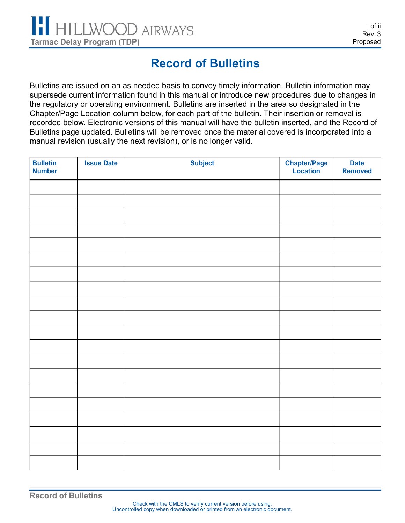## <span id="page-6-2"></span><span id="page-6-1"></span>**Record of Bulletins**

<span id="page-6-0"></span>Bulletins are issued on an as needed basis to convey timely information. Bulletin information may supersede current information found in this manual or introduce new procedures due to changes in the regulatory or operating environment. Bulletins are inserted in the area so designated in the Chapter/Page Location column below, for each part of the bulletin. Their insertion or removal is recorded below. Electronic versions of this manual will have the bulletin inserted, and the Record of Bulletins page updated. Bulletins will be removed once the material covered is incorporated into a manual revision (usually the next revision), or is no longer valid.

| <b>Bulletin</b><br><b>Number</b> | <b>Issue Date</b> | <b>Subject</b> | <b>Chapter/Page</b><br>Location | <b>Date</b><br><b>Removed</b> |
|----------------------------------|-------------------|----------------|---------------------------------|-------------------------------|
|                                  |                   |                |                                 |                               |
|                                  |                   |                |                                 |                               |
|                                  |                   |                |                                 |                               |
|                                  |                   |                |                                 |                               |
|                                  |                   |                |                                 |                               |
|                                  |                   |                |                                 |                               |
|                                  |                   |                |                                 |                               |
|                                  |                   |                |                                 |                               |
|                                  |                   |                |                                 |                               |
|                                  |                   |                |                                 |                               |
|                                  |                   |                |                                 |                               |
|                                  |                   |                |                                 |                               |
|                                  |                   |                |                                 |                               |
|                                  |                   |                |                                 |                               |
|                                  |                   |                |                                 |                               |
|                                  |                   |                |                                 |                               |
|                                  |                   |                |                                 |                               |
|                                  |                   |                |                                 |                               |
|                                  |                   |                |                                 |                               |
|                                  |                   |                |                                 |                               |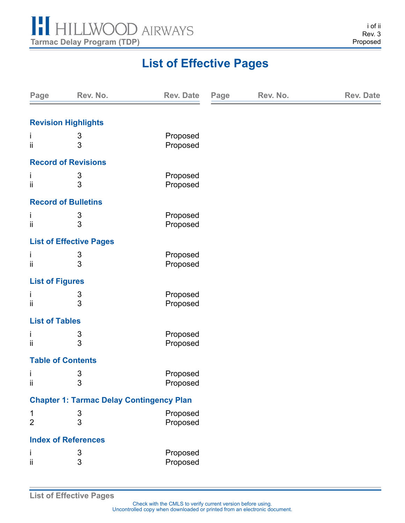

## <span id="page-8-2"></span><span id="page-8-1"></span>**List of Effective Pages**

<span id="page-8-0"></span>

| Page                   | Rev. No.                                        | <b>Rev. Date</b> | Page | Rev. No. | <b>Rev. Date</b> |  |
|------------------------|-------------------------------------------------|------------------|------|----------|------------------|--|
|                        |                                                 |                  |      |          |                  |  |
|                        | <b>Revision Highlights</b>                      |                  |      |          |                  |  |
| Ť                      | 3                                               | Proposed         |      |          |                  |  |
| ii                     | 3                                               | Proposed         |      |          |                  |  |
|                        | <b>Record of Revisions</b>                      |                  |      |          |                  |  |
| T                      | 3                                               | Proposed         |      |          |                  |  |
| ii                     | 3                                               | Proposed         |      |          |                  |  |
|                        | <b>Record of Bulletins</b>                      |                  |      |          |                  |  |
| T                      | 3                                               | Proposed         |      |          |                  |  |
| ii                     | 3                                               | Proposed         |      |          |                  |  |
|                        | <b>List of Effective Pages</b>                  |                  |      |          |                  |  |
| Ť                      | 3                                               | Proposed         |      |          |                  |  |
| ii                     | 3                                               | Proposed         |      |          |                  |  |
| <b>List of Figures</b> |                                                 |                  |      |          |                  |  |
| T                      | 3                                               | Proposed         |      |          |                  |  |
| ii                     | 3                                               | Proposed         |      |          |                  |  |
| <b>List of Tables</b>  |                                                 |                  |      |          |                  |  |
| L                      | 3                                               | Proposed         |      |          |                  |  |
| ii                     | 3                                               | Proposed         |      |          |                  |  |
|                        | <b>Table of Contents</b>                        |                  |      |          |                  |  |
| j.                     | 3                                               | Proposed         |      |          |                  |  |
| ij                     | 3                                               | Proposed         |      |          |                  |  |
|                        | <b>Chapter 1: Tarmac Delay Contingency Plan</b> |                  |      |          |                  |  |
| $\mathbf{1}$           | $\mathsf 3$                                     | Proposed         |      |          |                  |  |
| $\overline{2}$         | 3                                               | Proposed         |      |          |                  |  |
|                        | <b>Index of References</b>                      |                  |      |          |                  |  |
| j,                     | 3                                               | Proposed         |      |          |                  |  |
| ii                     | 3                                               | Proposed         |      |          |                  |  |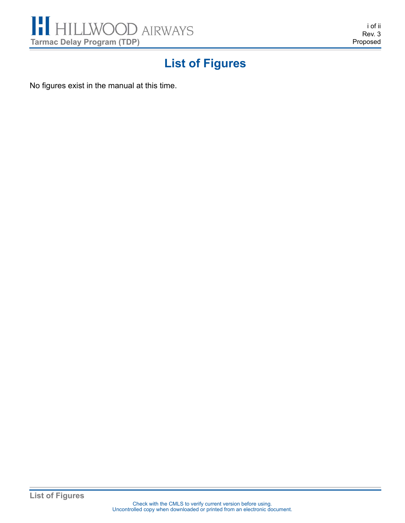

<span id="page-10-2"></span><span id="page-10-1"></span>i of ii Rev. 3 Proposed

## **List of Figures**

<span id="page-10-0"></span>No figures exist in the manual at this time.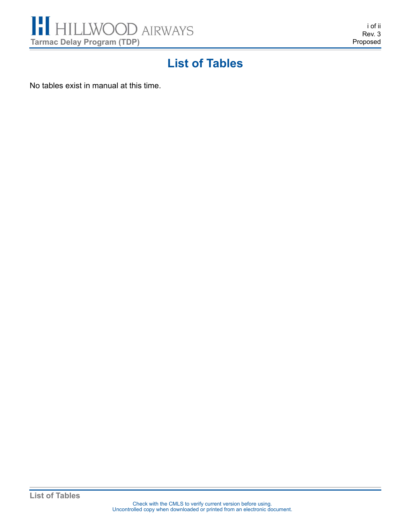

<span id="page-12-2"></span><span id="page-12-1"></span>i of ii Rev. 3 Proposed

### **List of Tables**

<span id="page-12-0"></span>No tables exist in manual at this time.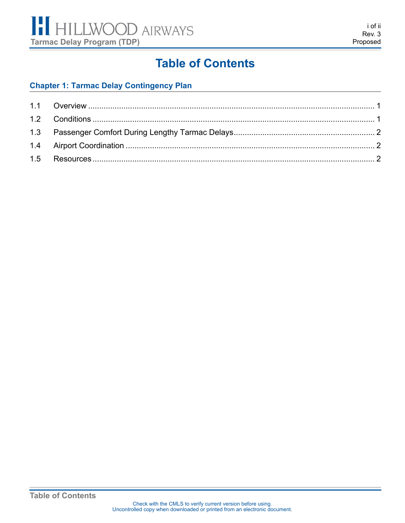

### <span id="page-14-2"></span><span id="page-14-1"></span>**Table of Contents**

#### <span id="page-14-0"></span>**[Chapter 1: Tarmac Delay Contingency Plan](#page-16-0)**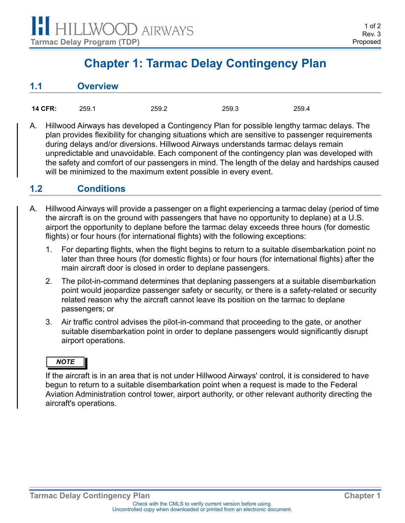### <span id="page-16-8"></span><span id="page-16-7"></span><span id="page-16-6"></span><span id="page-16-5"></span><span id="page-16-2"></span><span id="page-16-1"></span>**Chapter 1: Tarmac Delay Contingency Plan**

<span id="page-16-3"></span><span id="page-16-0"></span>

| 1.1 | <b>Overview</b> |
|-----|-----------------|
|     |                 |

| 14 CFR: | 259.1 | 259.2 | 259.3 | 259.4 |
|---------|-------|-------|-------|-------|
|         |       |       |       |       |

A. Hillwood Airways has developed a Contingency Plan for possible lengthy tarmac delays. The plan provides flexibility for changing situations which are sensitive to passenger requirements during delays and/or diversions. Hillwood Airways understands tarmac delays remain unpredictable and unavoidable. Each component of the contingency plan was developed with the safety and comfort of our passengers in mind. The length of the delay and hardships caused will be minimized to the maximum extent possible in every event.

#### <span id="page-16-4"></span>**1.2 Conditions**

- A. Hillwood Airways will provide a passenger on a flight experiencing a tarmac delay (period of time the aircraft is on the ground with passengers that have no opportunity to deplane) at a U.S. airport the opportunity to deplane before the tarmac delay exceeds three hours (for domestic flights) or four hours (for international flights) with the following exceptions:
	- 1. For departing flights, when the flight begins to return to a suitable disembarkation point no later than three hours (for domestic flights) or four hours (for international flights) after the main aircraft door is closed in order to deplane passengers.
	- 2. The pilot-in-command determines that deplaning passengers at a suitable disembarkation point would jeopardize passenger safety or security, or there is a safety-related or security related reason why the aircraft cannot leave its position on the tarmac to deplane passengers; or
	- 3. Air traffic control advises the pilot-in-command that proceeding to the gate, or another suitable disembarkation point in order to deplane passengers would significantly disrupt airport operations.

#### *NOTE*

If the aircraft is in an area that is not under Hillwood Airways' control, it is considered to have begun to return to a suitable disembarkation point when a request is made to the Federal Aviation Administration control tower, airport authority, or other relevant authority directing the aircraft's operations.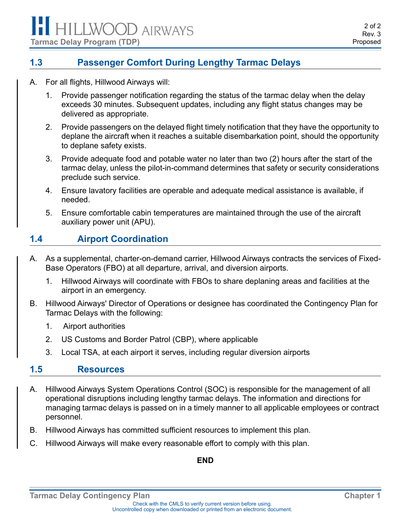#### <span id="page-17-2"></span><span id="page-17-1"></span><span id="page-17-0"></span>**1.3 Passenger Comfort During Lengthy Tarmac Delays**

- A. For all flights, Hillwood Airways will:
	- 1. Provide passenger notification regarding the status of the tarmac delay when the delay exceeds 30 minutes. Subsequent updates, including any flight status changes may be delivered as appropriate.
	- 2. Provide passengers on the delayed flight timely notification that they have the opportunity to deplane the aircraft when it reaches a suitable disembarkation point, should the opportunity to deplane safety exists.
	- 3. Provide adequate food and potable water no later than two (2) hours after the start of the tarmac delay, unless the pilot-in-command determines that safety or security considerations preclude such service.
	- 4. Ensure lavatory facilities are operable and adequate medical assistance is available, if needed.
	- 5. Ensure comfortable cabin temperatures are maintained through the use of the aircraft auxiliary power unit (APU).

#### <span id="page-17-3"></span>**1.4 Airport Coordination**

- A. As a supplemental, charter-on-demand carrier, Hillwood Airways contracts the services of Fixed-Base Operators (FBO) at all departure, arrival, and diversion airports.
	- 1. Hillwood Airways will coordinate with FBOs to share deplaning areas and facilities at the airport in an emergency.
- B. Hillwood Airways' Director of Operations or designee has coordinated the Contingency Plan for Tarmac Delays with the following:
	- 1. Airport authorities
	- 2. US Customs and Border Patrol (CBP), where applicable
	- 3. Local TSA, at each airport it serves, including regular diversion airports

#### <span id="page-17-4"></span>**1.5 Resources**

- A. Hillwood Airways System Operations Control (SOC) is responsible for the management of all operational disruptions including lengthy tarmac delays. The information and directions for managing tarmac delays is passed on in a timely manner to all applicable employees or contract personnel.
- B. Hillwood Airways has committed sufficient resources to implement this plan.
- C. Hillwood Airways will make every reasonable effort to comply with this plan.

#### **END**